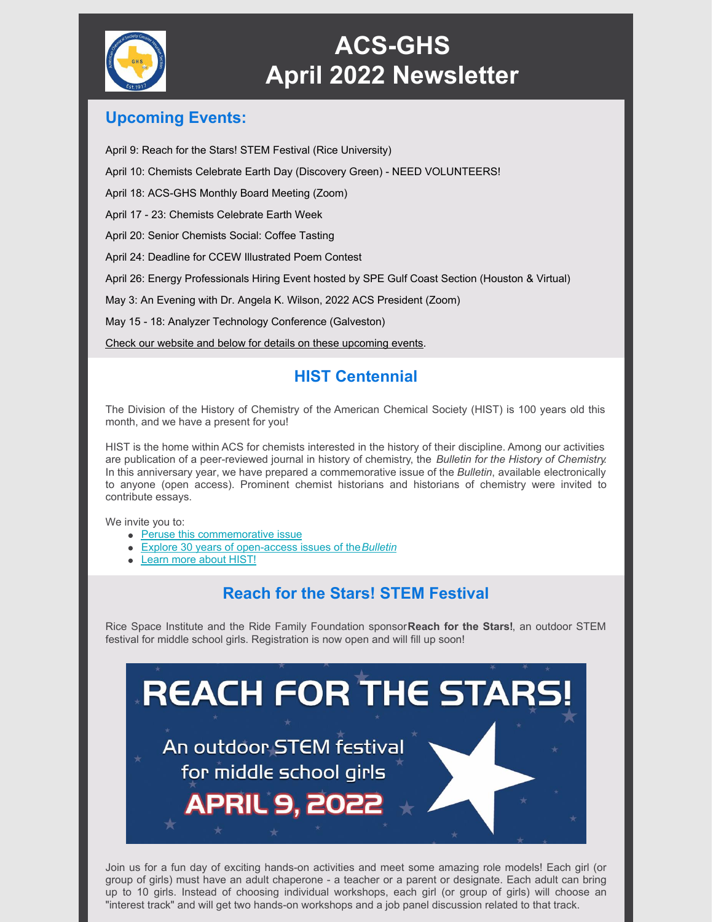

# **ACS-GHS April 2022 Newsletter**

#### **Upcoming Events:**

April 9: Reach for the Stars! STEM Festival (Rice University)

April 10: Chemists Celebrate Earth Day (Discovery Green) - NEED VOLUNTEERS!

April 18: ACS-GHS Monthly Board Meeting (Zoom)

April 17 - 23: Chemists Celebrate Earth Week

April 20: Senior Chemists Social: Coffee Tasting

April 24: Deadline for CCEW Illustrated Poem Contest

April 26: Energy Professionals Hiring Event hosted by SPE Gulf Coast Section (Houston & Virtual)

May 3: An Evening with Dr. Angela K. Wilson, 2022 ACS President (Zoom)

May 15 - 18: Analyzer Technology Conference (Galveston)

Check our website and below for details on these [upcoming](https://acsghs.wildapricot.org/) events.

### **HIST Centennial**

The Division of the History of Chemistry of the American Chemical Society (HIST) is 100 years old this month, and we have a present for you!

HIST is the home within ACS for chemists interested in the history of their discipline. Among our activities are publication of a peer-reviewed journal in history of chemistry, the *Bulletin for the History of Chemistry*. In this anniversary year, we have prepared a commemorative issue of the *Bulletin*, available electronically to anyone (open access). Prominent chemist historians and historians of chemistry were invited to contribute essays.

#### We invite you to:

- Peruse this [commemorative](http://acshist.scs.illinois.edu/bulletin_open_access/bull22-vol47-1.php) issue
- Explore 30 years of [open-access](http://acshist.scs.illinois.edu/bulletin_open_access/bull-index.php) issues of the*[Bulletin](http://acshist.scs.illinois.edu/bulletin_open_access/bull-index.php)*
- [Learn](http://acshist.scs.illinois.edu/index.php) more about HIST!

### **Reach for the Stars! STEM Festival**

Rice Space Institute and the Ride Family Foundation sponsor**Reach for the Stars!**, an outdoor STEM festival for middle school girls. Registration is now open and will fill up soon!



Join us for a fun day of exciting hands-on activities and meet some amazing role models! Each girl (or group of girls) must have an adult chaperone - a teacher or a parent or designate. Each adult can bring up to 10 girls. Instead of choosing individual workshops, each girl (or group of girls) will choose an "interest track" and will get two hands-on workshops and a job panel discussion related to that track.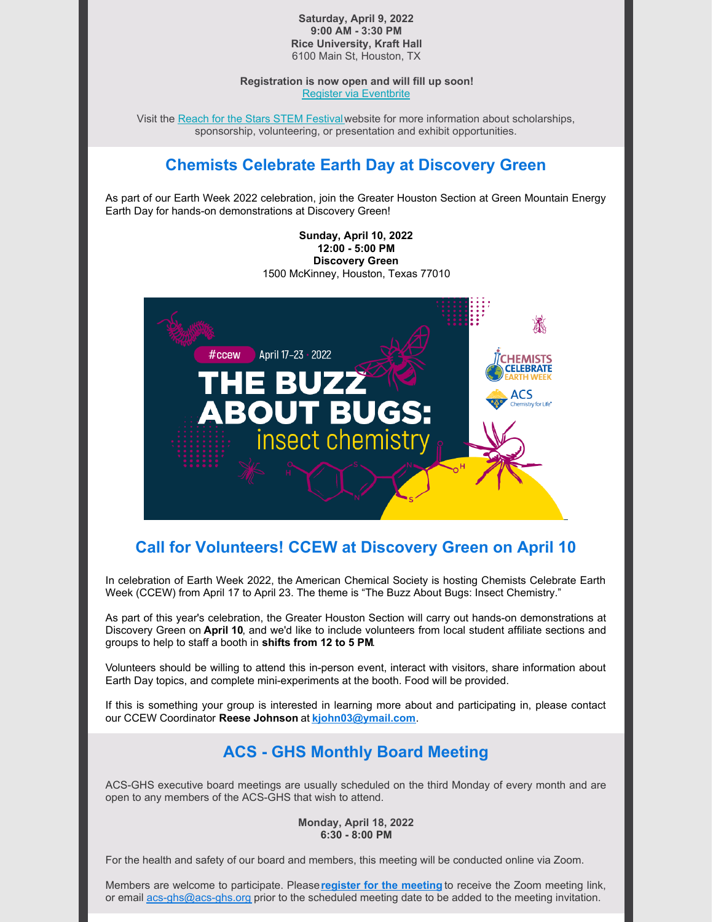#### **Saturday, April 9, 2022 9:00 AM - 3:30 PM Rice University, Kraft Hall** 6100 Main St, Houston, TX

**Registration is now open and will fill up soon!** Register via [Eventbrite](https://reachforthestars2022.eventbrite.com/)

Visit the Reach for the Stars STEM [Festival](https://space.rice.edu/ReachForTheStars/)website for more information about scholarships, sponsorship, volunteering, or presentation and exhibit opportunities.

### **Chemists Celebrate Earth Day at Discovery Green**

As part of our Earth Week 2022 celebration, join the Greater Houston Section at Green Mountain Energy Earth Day for hands-on demonstrations at Discovery Green!

> **Sunday, April 10, 2022 12:00 - 5:00 PM Discovery Green** 1500 McKinney, Houston, Texas 77010



### **Call for Volunteers! CCEW at Discovery Green on April 10**

In celebration of Earth Week 2022, the American Chemical Society is hosting Chemists Celebrate Earth Week (CCEW) from April 17 to April 23. The theme is "The Buzz About Bugs: Insect Chemistry."

As part of this year's celebration, the Greater Houston Section will carry out hands-on demonstrations at Discovery Green on **April 10**, and we'd like to include volunteers from local student affiliate sections and groups to help to staff a booth in **shifts from 12 to 5 PM**.

Volunteers should be willing to attend this in-person event, interact with visitors, share information about Earth Day topics, and complete mini-experiments at the booth. Food will be provided.

If this is something your group is interested in learning more about and participating in, please contact our CCEW Coordinator **Reese Johnson** at **[kjohn03@ymail.com](mailto:kjohn03@ymail.com)**.

#### **ACS - GHS Monthly Board Meeting**

ACS-GHS executive board meetings are usually scheduled on the third Monday of every month and are open to any members of the ACS-GHS that wish to attend.

#### **Monday, April 18, 2022 6:30 - 8:00 PM**

For the health and safety of our board and members, this meeting will be conducted online via Zoom.

Members are welcome to participate. Please**register for the [meeting](https://acsghs.wildapricot.org/event-4703950/Registration)** to receive the Zoom meeting link, or email [acs-ghs@acs-ghs.org](mailto:acs-ghs@acs-ghs.org) prior to the scheduled meeting date to be added to the meeting invitation.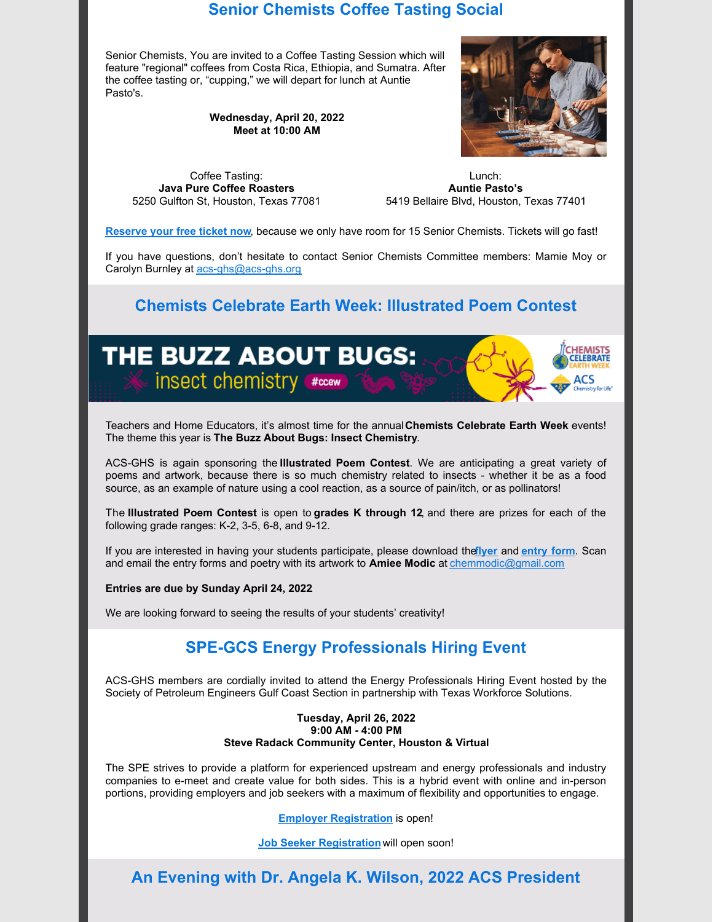#### **Senior Chemists Coffee Tasting Social**

Senior Chemists, You are invited to a Coffee Tasting Session which will feature "regional" coffees from Costa Rica, Ethiopia, and Sumatra. After the coffee tasting or, "cupping," we will depart for lunch at Auntie Pasto's.

> **Wednesday, April 20, 2022 Meet at 10:00 AM**



Coffee Tasting: **Java Pure Coffee Roasters** 5250 Gulfton St, Houston, Texas 77081

Lunch: **Auntie Pasto's** 5419 Bellaire Blvd, Houston, Texas 77401

**[Reserve](https://acsghs.wildapricot.org/event-4770994) your free ticket now**, because we only have room for 15 Senior Chemists. Tickets will go fast!

If you have questions, don't hesitate to contact Senior Chemists Committee members: Mamie Moy or Carolyn Burnley at [acs-ghs@acs-ghs.org](mailto:acs-ghs@acs-ghs.org)

#### **Chemists Celebrate Earth Week: Illustrated Poem Contest**



Teachers and Home Educators, it's almost time for the annual**Chemists Celebrate Earth Week** events! The theme this year is **The Buzz About Bugs: Insect Chemistry**.

ACS-GHS is again sponsoring the **Illustrated Poem Contest**. We are anticipating a great variety of poems and artwork, because there is so much chemistry related to insects - whether it be as a food source, as an example of nature using a cool reaction, as a source of pain/itch, or as pollinators!

The **Illustrated Poem Contest** is open to **grades K through 12**, and there are prizes for each of the following grade ranges: K-2, 3-5, 6-8, and 9-12.

If you are interested in having your students participate, please download the**[flyer](https://files.constantcontact.com/abcff127001/e860932b-6d73-46de-863b-89f620babec4.pdf?rdr=true)** and **[entry](https://files.constantcontact.com/abcff127001/40f9b85b-f18a-421f-9cb2-c5408c86a4ba.pdf?rdr=true) form**. Scan and email the entry forms and poetry with its artwork to **Amiee Modic** at [chemmodic@gmail.com](mailto:chemmodic@gmail.com)

**Entries are due by Sunday April 24, 2022**.

We are looking forward to seeing the results of your students' creativity!

## **SPE-GCS Energy Professionals Hiring Event**

ACS-GHS members are cordially invited to attend the Energy Professionals Hiring Event hosted by the Society of Petroleum Engineers Gulf Coast Section in partnership with Texas Workforce Solutions.

#### **Tuesday, April 26, 2022 9:00 AM - 4:00 PM Steve Radack Community Center, Houston & Virtual**

The SPE strives to provide a platform for experienced upstream and energy professionals and industry companies to e-meet and create value for both sides. This is a hybrid event with online and in-person portions, providing employers and job seekers with a maximum of flexibility and opportunities to engage.

**Employer [Registration](https://www.spegcs.org/events/6336/)** is open!

**Job Seeker [Registration](https://www.spegcs.org/hiring-event/)** will open soon!

**An Evening with Dr. Angela K. Wilson, 2022 ACS President**